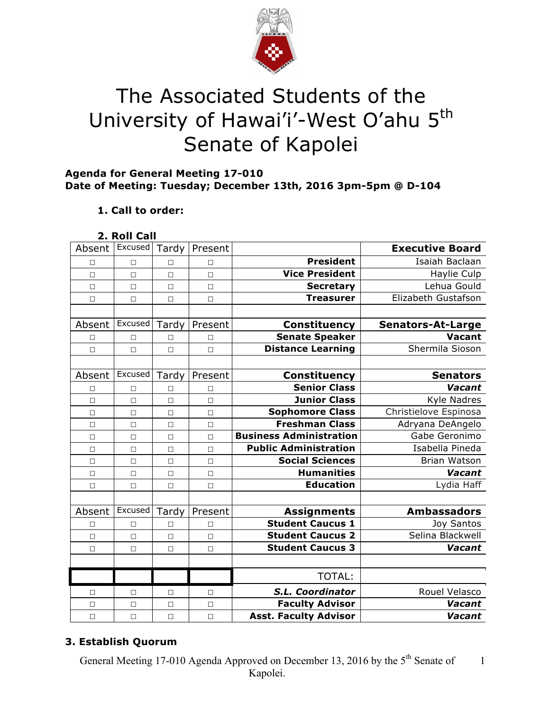

# The Associated Students of the University of Hawai'i'-West O'ahu 5<sup>th</sup> Senate of Kapolei

## **Agenda for General Meeting 17-010 Date of Meeting: Tuesday; December 13th, 2016 3pm-5pm @ D-104**

# **1. Call to order:**

### **2. Roll Call**

| Absent | Excused | Tardy  | Present |                                | <b>Executive Board</b>   |
|--------|---------|--------|---------|--------------------------------|--------------------------|
| П      | $\Box$  | $\Box$ | П       | <b>President</b>               | Isaiah Baclaan           |
| $\Box$ | $\Box$  | $\Box$ | $\Box$  | <b>Vice President</b>          | Haylie Culp              |
| $\Box$ | $\Box$  | $\Box$ | $\Box$  | <b>Secretary</b>               | Lehua Gould              |
| $\Box$ | $\Box$  | $\Box$ | $\Box$  | <b>Treasurer</b>               | Elizabeth Gustafson      |
|        |         |        |         |                                |                          |
| Absent | Excused | Tardy  | Present | <b>Constituency</b>            | <b>Senators-At-Large</b> |
| □      | $\Box$  | □      | П       | <b>Senate Speaker</b>          | <b>Vacant</b>            |
| $\Box$ | $\Box$  | $\Box$ | $\Box$  | <b>Distance Learning</b>       | Shermila Sioson          |
|        |         |        |         |                                |                          |
| Absent | Excused | Tardy  | Present | <b>Constituency</b>            | <b>Senators</b>          |
| П      | П       | $\Box$ | П       | <b>Senior Class</b>            | Vacant                   |
| $\Box$ | $\Box$  | $\Box$ | $\Box$  | <b>Junior Class</b>            | <b>Kyle Nadres</b>       |
| $\Box$ | $\Box$  | $\Box$ | $\Box$  | <b>Sophomore Class</b>         | Christielove Espinosa    |
| $\Box$ | $\Box$  | $\Box$ | $\Box$  | <b>Freshman Class</b>          | Adryana DeAngelo         |
| $\Box$ | $\Box$  | $\Box$ | $\Box$  | <b>Business Administration</b> | Gabe Geronimo            |
| $\Box$ | $\Box$  | $\Box$ | $\Box$  | <b>Public Administration</b>   | Isabella Pineda          |
| $\Box$ | $\Box$  | $\Box$ | $\Box$  | <b>Social Sciences</b>         | <b>Brian Watson</b>      |
| П      | $\Box$  | $\Box$ | $\Box$  | <b>Humanities</b>              | Vacant                   |
| $\Box$ | $\Box$  | $\Box$ | $\Box$  | <b>Education</b>               | Lydia Haff               |
|        |         |        |         |                                |                          |
| Absent | Excused | Tardy  | Present | <b>Assignments</b>             | <b>Ambassadors</b>       |
| $\Box$ | $\Box$  | П      | $\Box$  | <b>Student Caucus 1</b>        | Joy Santos               |
| □      | $\Box$  | $\Box$ | $\Box$  | <b>Student Caucus 2</b>        | Selina Blackwell         |
| $\Box$ | $\Box$  | $\Box$ | $\Box$  | <b>Student Caucus 3</b>        | Vacant                   |
|        |         |        |         |                                |                          |
|        |         |        |         | <b>TOTAL:</b>                  |                          |
| □      | □       | $\Box$ | □       | S.L. Coordinator               | Rouel Velasco            |
| $\Box$ | $\Box$  | $\Box$ | $\Box$  | <b>Faculty Advisor</b>         | Vacant                   |
| $\Box$ | $\Box$  | $\Box$ | $\Box$  | <b>Asst. Faculty Advisor</b>   | Vacant                   |

# **3. Establish Quorum**

General Meeting 17-010 Agenda Approved on December 13, 2016 by the 5<sup>th</sup> Senate of Kapolei. 1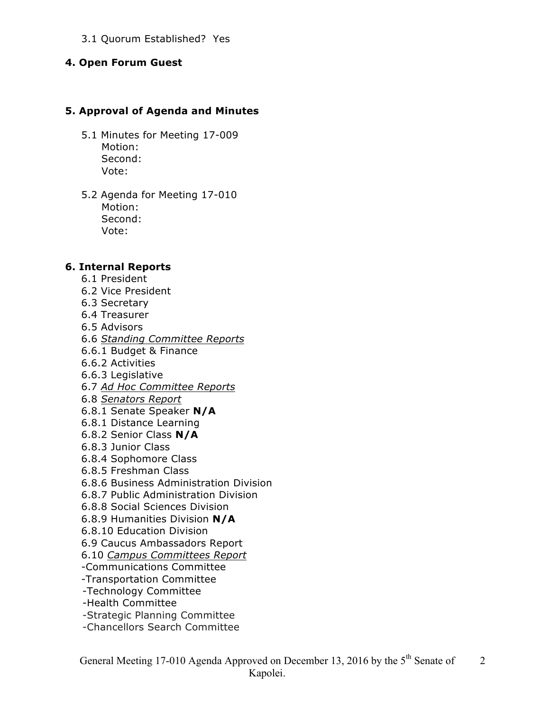#### 3.1 Quorum Established? Yes

#### **4. Open Forum Guest**

#### **5. Approval of Agenda and Minutes**

- 5.1 Minutes for Meeting 17-009 Motion: Second: Vote:
- 5.2 Agenda for Meeting 17-010 Motion: Second: Vote:

#### **6. Internal Reports**

- 6.1 President
- 6.2 Vice President
- 6.3 Secretary
- 6.4 Treasurer
- 6.5 Advisors
- 6.6 *Standing Committee Reports*
- 6.6.1 Budget & Finance
- 6.6.2 Activities
- 6.6.3 Legislative
- 6.7 *Ad Hoc Committee Reports*
- 6.8 *Senators Report*
- 6.8.1 Senate Speaker **N/A**
- 6.8.1 Distance Learning
- 6.8.2 Senior Class **N/A**
- 6.8.3 Junior Class
- 6.8.4 Sophomore Class
- 6.8.5 Freshman Class
- 6.8.6 Business Administration Division
- 6.8.7 Public Administration Division
- 6.8.8 Social Sciences Division
- 6.8.9 Humanities Division **N/A**
- 6.8.10 Education Division
- 6.9 Caucus Ambassadors Report
- 6.10 *Campus Committees Report*
- -Communications Committee
- -Transportation Committee
- -Technology Committee
- -Health Committee
- -Strategic Planning Committee
- -Chancellors Search Committee